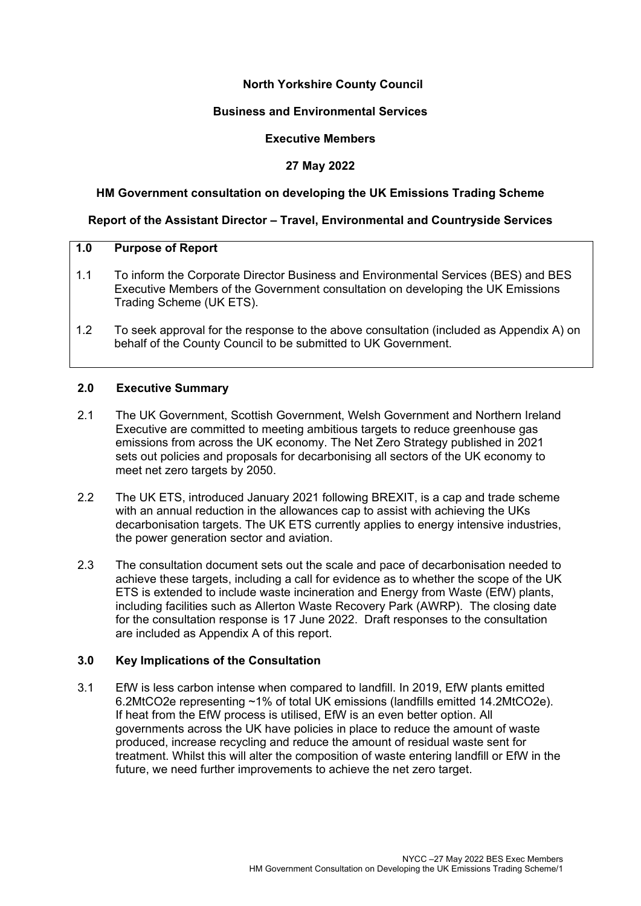# **North Yorkshire County Council**

# **Business and Environmental Services**

# **Executive Members**

# **27 May 2022**

# **HM Government consultation on developing the UK Emissions Trading Scheme**

# **Report of the Assistant Director – Travel, Environmental and Countryside Services**

#### **1.0 Purpose of Report**

- 1.1 To inform the Corporate Director Business and Environmental Services (BES) and BES Executive Members of the Government consultation on developing the UK Emissions Trading Scheme (UK ETS).
- 1.2 To seek approval for the response to the above consultation (included as Appendix A) on behalf of the County Council to be submitted to UK Government.

#### **2.0 Executive Summary**

- 2.1 The UK Government, Scottish Government, Welsh Government and Northern Ireland Executive are committed to meeting ambitious targets to reduce greenhouse gas emissions from across the UK economy. The Net Zero Strategy published in 2021 sets out policies and proposals for decarbonising all sectors of the UK economy to meet net zero targets by 2050.
- 2.2 The UK ETS, introduced January 2021 following BREXIT, is a cap and trade scheme with an annual reduction in the allowances cap to assist with achieving the UKs decarbonisation targets. The UK ETS currently applies to energy intensive industries, the power generation sector and aviation.
- 2.3 The consultation document sets out the scale and pace of decarbonisation needed to achieve these targets, including a call for evidence as to whether the scope of the UK ETS is extended to include waste incineration and Energy from Waste (EfW) plants, including facilities such as Allerton Waste Recovery Park (AWRP). The closing date for the consultation response is 17 June 2022. Draft responses to the consultation are included as Appendix A of this report.

# **3.0 Key Implications of the Consultation**

3.1 EfW is less carbon intense when compared to landfill. In 2019, EfW plants emitted 6.2MtCO2e representing ~1% of total UK emissions (landfills emitted 14.2MtCO2e). If heat from the EfW process is utilised, EfW is an even better option. All governments across the UK have policies in place to reduce the amount of waste produced, increase recycling and reduce the amount of residual waste sent for treatment. Whilst this will alter the composition of waste entering landfill or EfW in the future, we need further improvements to achieve the net zero target.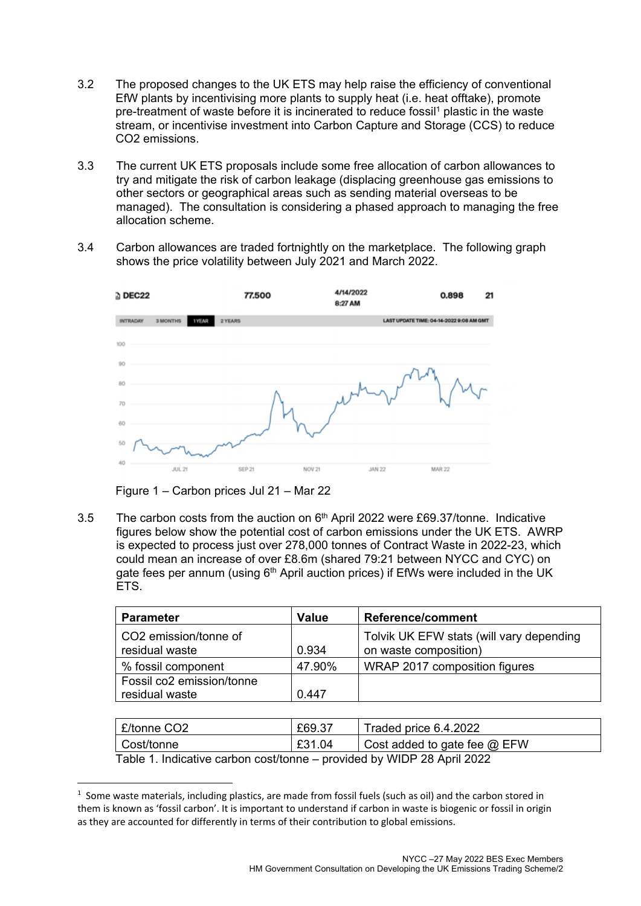- 3.2 The proposed changes to the UK ETS may help raise the efficiency of conventional EfW plants by incentivising more plants to supply heat (i.e. heat offtake), promote pre-treatment of waste before it is incinerated to reduce fossil 1 plastic in the waste stream, or incentivise investment into Carbon Capture and Storage (CCS) to reduce CO2 emissions.
- 3.3 The current UK ETS proposals include some free allocation of carbon allowances to try and mitigate the risk of carbon leakage (displacing greenhouse gas emissions to other sectors or geographical areas such as sending material overseas to be managed). The consultation is considering a phased approach to managing the free allocation scheme.
- 3.4 Carbon allowances are traded fortnightly on the marketplace. The following graph shows the price volatility between July 2021 and March 2022.



Figure 1 – Carbon prices Jul 21 – Mar 22

3.5 The carbon costs from the auction on 6th April 2022 were £69.37/tonne. Indicative figures below show the potential cost of carbon emissions under the UK ETS. AWRP is expected to process just over 278,000 tonnes of Contract Waste in 2022-23, which could mean an increase of over £8.6m (shared 79:21 between NYCC and CYC) on gate fees per annum (using 6<sup>th</sup> April auction prices) if EfWs were included in the UK ETS.

| <b>Parameter</b>                        | <b>Value</b> | Reference/comment                                                 |
|-----------------------------------------|--------------|-------------------------------------------------------------------|
| CO2 emission/tonne of<br>residual waste | 0.934        | Tolvik UK EFW stats (will vary depending<br>on waste composition) |
| % fossil component                      | 47.90%       | WRAP 2017 composition figures                                     |
| Fossil co2 emission/tonne               |              |                                                                   |
| residual waste                          | 0.447        |                                                                   |

| l £/tonne CO2                                                          | £69.37 | Traded price 6.4.2022                       |  |  |  |
|------------------------------------------------------------------------|--------|---------------------------------------------|--|--|--|
| Cost/tonne                                                             | £31.04 | $\vert$ Cost added to gate fee $\omega$ EFW |  |  |  |
| Table 1. Indicative carbon cost/tonne – provided by WIDP 28 April 2022 |        |                                             |  |  |  |

<sup>&</sup>lt;sup>1</sup> Some waste materials, including plastics, are made from fossil fuels (such as oil) and the carbon stored in them is known as 'fossil carbon'. It is important to understand if carbon in waste is biogenic or fossil in origin as they are accounted for differently in terms of their contribution to global emissions.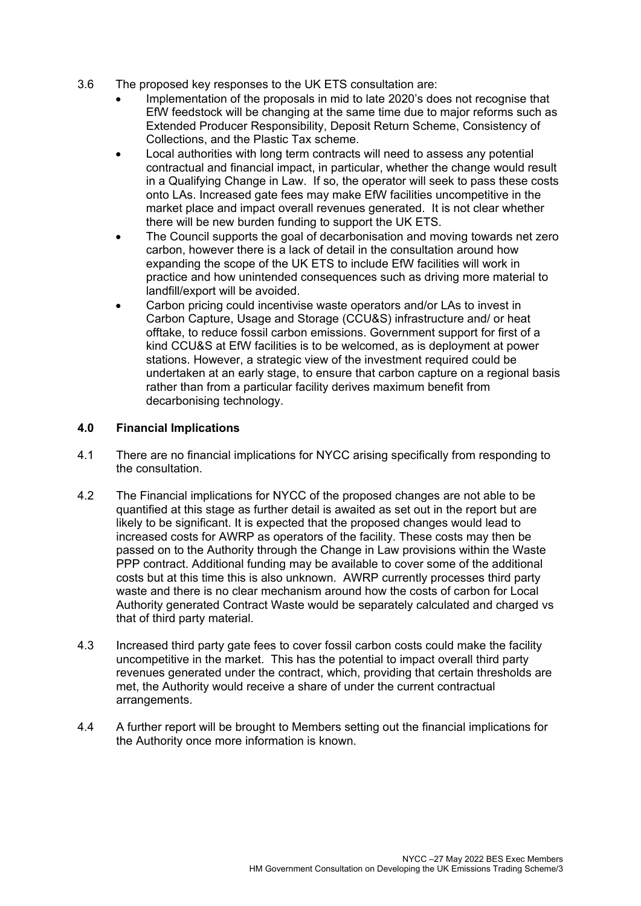- 3.6 The proposed key responses to the UK ETS consultation are:
	- Implementation of the proposals in mid to late 2020's does not recognise that EfW feedstock will be changing at the same time due to major reforms such as Extended Producer Responsibility, Deposit Return Scheme, Consistency of Collections, and the Plastic Tax scheme.
	- Local authorities with long term contracts will need to assess any potential contractual and financial impact, in particular, whether the change would result in a Qualifying Change in Law. If so, the operator will seek to pass these costs onto LAs. Increased gate fees may make EfW facilities uncompetitive in the market place and impact overall revenues generated. It is not clear whether there will be new burden funding to support the UK ETS.
	- The Council supports the goal of decarbonisation and moving towards net zero carbon, however there is a lack of detail in the consultation around how expanding the scope of the UK ETS to include EfW facilities will work in practice and how unintended consequences such as driving more material to landfill/export will be avoided.
	- Carbon pricing could incentivise waste operators and/or LAs to invest in Carbon Capture, Usage and Storage (CCU&S) infrastructure and/ or heat offtake, to reduce fossil carbon emissions. Government support for first of a kind CCU&S at EfW facilities is to be welcomed, as is deployment at power stations. However, a strategic view of the investment required could be undertaken at an early stage, to ensure that carbon capture on a regional basis rather than from a particular facility derives maximum benefit from decarbonising technology.

# **4.0 Financial Implications**

- 4.1 There are no financial implications for NYCC arising specifically from responding to the consultation.
- 4.2 The Financial implications for NYCC of the proposed changes are not able to be quantified at this stage as further detail is awaited as set out in the report but are likely to be significant. It is expected that the proposed changes would lead to increased costs for AWRP as operators of the facility. These costs may then be passed on to the Authority through the Change in Law provisions within the Waste PPP contract. Additional funding may be available to cover some of the additional costs but at this time this is also unknown. AWRP currently processes third party waste and there is no clear mechanism around how the costs of carbon for Local Authority generated Contract Waste would be separately calculated and charged vs that of third party material.
- 4.3 Increased third party gate fees to cover fossil carbon costs could make the facility uncompetitive in the market. This has the potential to impact overall third party revenues generated under the contract, which, providing that certain thresholds are met, the Authority would receive a share of under the current contractual arrangements.
- 4.4 A further report will be brought to Members setting out the financial implications for the Authority once more information is known.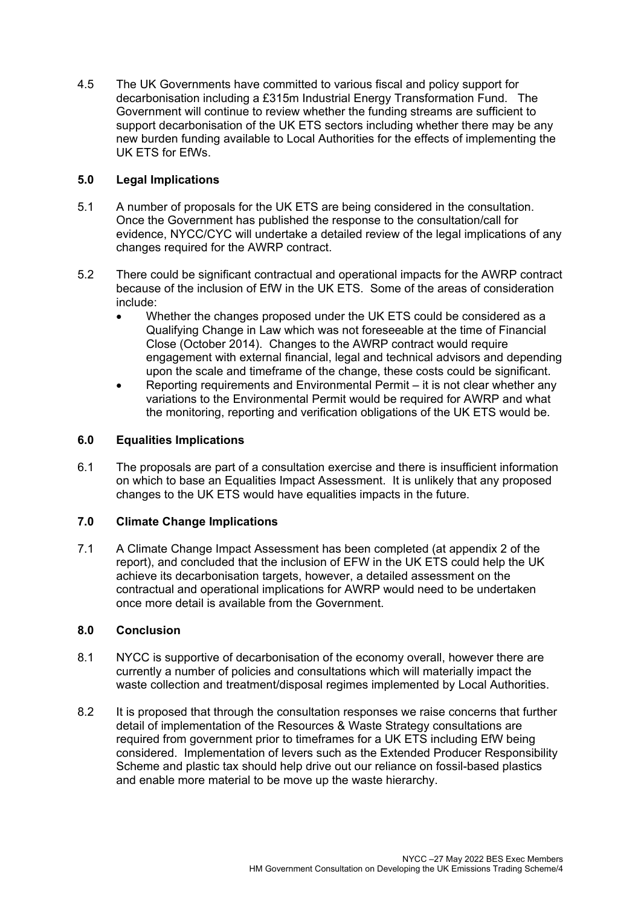4.5 The UK Governments have committed to various fiscal and policy support for decarbonisation including a £315m Industrial Energy Transformation Fund. The Government will continue to review whether the funding streams are sufficient to support decarbonisation of the UK ETS sectors including whether there may be any new burden funding available to Local Authorities for the effects of implementing the UK ETS for EfWs.

# **5.0 Legal Implications**

- 5.1 A number of proposals for the UK ETS are being considered in the consultation. Once the Government has published the response to the consultation/call for evidence, NYCC/CYC will undertake a detailed review of the legal implications of any changes required for the AWRP contract.
- 5.2 There could be significant contractual and operational impacts for the AWRP contract because of the inclusion of EfW in the UK ETS. Some of the areas of consideration include:
	- Whether the changes proposed under the UK ETS could be considered as a Qualifying Change in Law which was not foreseeable at the time of Financial Close (October 2014). Changes to the AWRP contract would require engagement with external financial, legal and technical advisors and depending upon the scale and timeframe of the change, these costs could be significant.
	- Reporting requirements and Environmental Permit it is not clear whether any variations to the Environmental Permit would be required for AWRP and what the monitoring, reporting and verification obligations of the UK ETS would be.

# **6.0 Equalities Implications**

6.1 The proposals are part of a consultation exercise and there is insufficient information on which to base an Equalities Impact Assessment. It is unlikely that any proposed changes to the UK ETS would have equalities impacts in the future.

# **7.0 Climate Change Implications**

7.1 A Climate Change Impact Assessment has been completed (at appendix 2 of the report), and concluded that the inclusion of EFW in the UK ETS could help the UK achieve its decarbonisation targets, however, a detailed assessment on the contractual and operational implications for AWRP would need to be undertaken once more detail is available from the Government.

# **8.0 Conclusion**

- 8.1 NYCC is supportive of decarbonisation of the economy overall, however there are currently a number of policies and consultations which will materially impact the waste collection and treatment/disposal regimes implemented by Local Authorities.
- 8.2 It is proposed that through the consultation responses we raise concerns that further detail of implementation of the Resources & Waste Strategy consultations are required from government prior to timeframes for a UK ETS including EfW being considered. Implementation of levers such as the Extended Producer Responsibility Scheme and plastic tax should help drive out our reliance on fossil-based plastics and enable more material to be move up the waste hierarchy.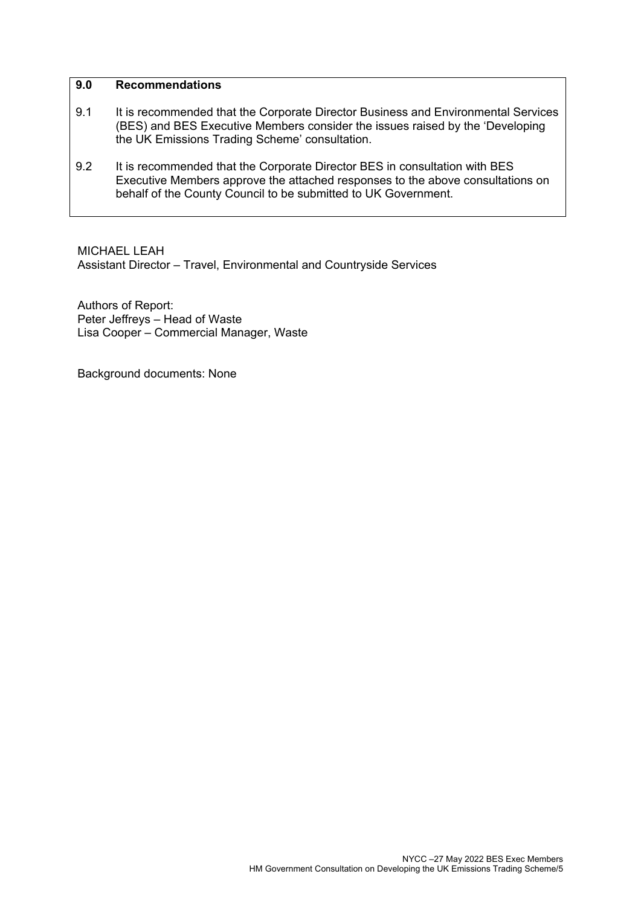### **9.0 Recommendations**

- 9.1 It is recommended that the Corporate Director Business and Environmental Services (BES) and BES Executive Members consider the issues raised by the 'Developing the UK Emissions Trading Scheme' consultation.
- 9.2 It is recommended that the Corporate Director BES in consultation with BES Executive Members approve the attached responses to the above consultations on behalf of the County Council to be submitted to UK Government.

MICHAEL LEAH Assistant Director – Travel, Environmental and Countryside Services

Authors of Report: Peter Jeffreys – Head of Waste Lisa Cooper – Commercial Manager, Waste

Background documents: None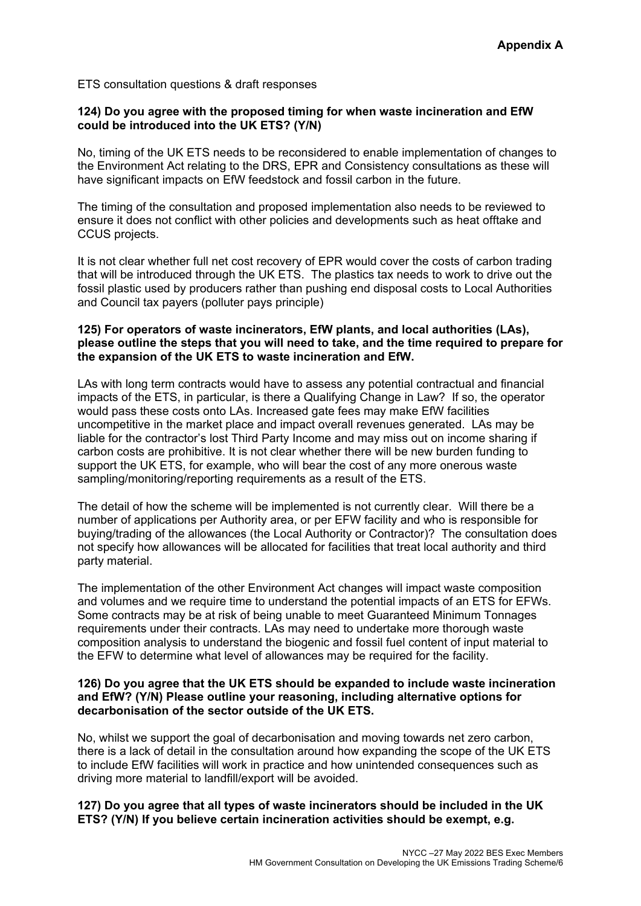ETS consultation questions & draft responses

### **124) Do you agree with the proposed timing for when waste incineration and EfW could be introduced into the UK ETS? (Y/N)**

No, timing of the UK ETS needs to be reconsidered to enable implementation of changes to the Environment Act relating to the DRS, EPR and Consistency consultations as these will have significant impacts on EfW feedstock and fossil carbon in the future.

The timing of the consultation and proposed implementation also needs to be reviewed to ensure it does not conflict with other policies and developments such as heat offtake and CCUS projects.

It is not clear whether full net cost recovery of EPR would cover the costs of carbon trading that will be introduced through the UK ETS. The plastics tax needs to work to drive out the fossil plastic used by producers rather than pushing end disposal costs to Local Authorities and Council tax payers (polluter pays principle)

### **125) For operators of waste incinerators, EfW plants, and local authorities (LAs), please outline the steps that you will need to take, and the time required to prepare for the expansion of the UK ETS to waste incineration and EfW.**

LAs with long term contracts would have to assess any potential contractual and financial impacts of the ETS, in particular, is there a Qualifying Change in Law? If so, the operator would pass these costs onto LAs. Increased gate fees may make EfW facilities uncompetitive in the market place and impact overall revenues generated. LAs may be liable for the contractor's lost Third Party Income and may miss out on income sharing if carbon costs are prohibitive. It is not clear whether there will be new burden funding to support the UK ETS, for example, who will bear the cost of any more onerous waste sampling/monitoring/reporting requirements as a result of the ETS.

The detail of how the scheme will be implemented is not currently clear. Will there be a number of applications per Authority area, or per EFW facility and who is responsible for buying/trading of the allowances (the Local Authority or Contractor)? The consultation does not specify how allowances will be allocated for facilities that treat local authority and third party material.

The implementation of the other Environment Act changes will impact waste composition and volumes and we require time to understand the potential impacts of an ETS for EFWs. Some contracts may be at risk of being unable to meet Guaranteed Minimum Tonnages requirements under their contracts. LAs may need to undertake more thorough waste composition analysis to understand the biogenic and fossil fuel content of input material to the EFW to determine what level of allowances may be required for the facility.

### **126) Do you agree that the UK ETS should be expanded to include waste incineration and EfW? (Y/N) Please outline your reasoning, including alternative options for decarbonisation of the sector outside of the UK ETS.**

No, whilst we support the goal of decarbonisation and moving towards net zero carbon, there is a lack of detail in the consultation around how expanding the scope of the UK ETS to include EfW facilities will work in practice and how unintended consequences such as driving more material to landfill/export will be avoided.

**127) Do you agree that all types of waste incinerators should be included in the UK ETS? (Y/N) If you believe certain incineration activities should be exempt, e.g.**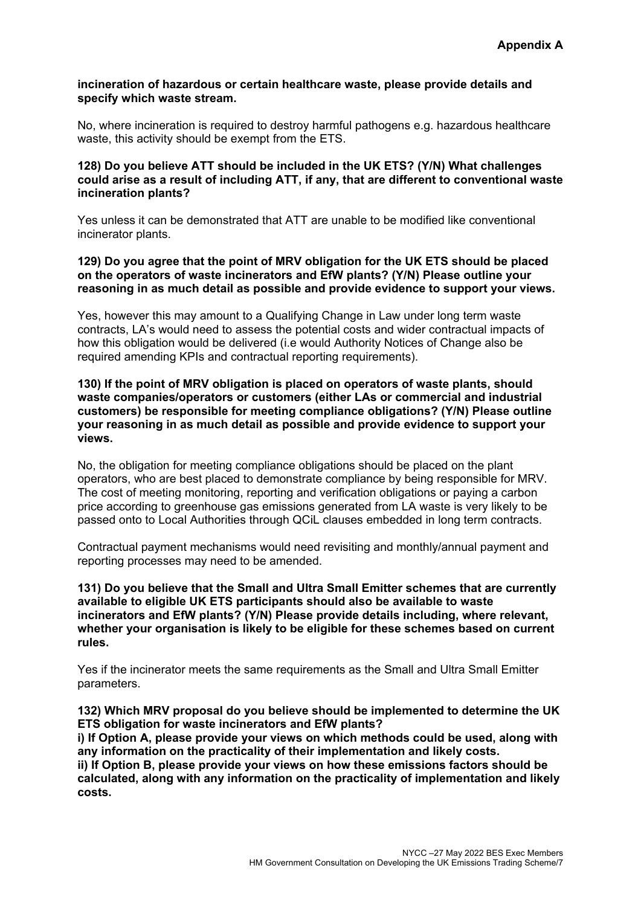#### **incineration of hazardous or certain healthcare waste, please provide details and specify which waste stream.**

No, where incineration is required to destroy harmful pathogens e.g. hazardous healthcare waste, this activity should be exempt from the ETS.

### **128) Do you believe ATT should be included in the UK ETS? (Y/N) What challenges could arise as a result of including ATT, if any, that are different to conventional waste incineration plants?**

Yes unless it can be demonstrated that ATT are unable to be modified like conventional incinerator plants.

### **129) Do you agree that the point of MRV obligation for the UK ETS should be placed on the operators of waste incinerators and EfW plants? (Y/N) Please outline your reasoning in as much detail as possible and provide evidence to support your views.**

Yes, however this may amount to a Qualifying Change in Law under long term waste contracts, LA's would need to assess the potential costs and wider contractual impacts of how this obligation would be delivered (i.e would Authority Notices of Change also be required amending KPIs and contractual reporting requirements).

#### **130) If the point of MRV obligation is placed on operators of waste plants, should waste companies/operators or customers (either LAs or commercial and industrial customers) be responsible for meeting compliance obligations? (Y/N) Please outline your reasoning in as much detail as possible and provide evidence to support your views.**

No, the obligation for meeting compliance obligations should be placed on the plant operators, who are best placed to demonstrate compliance by being responsible for MRV. The cost of meeting monitoring, reporting and verification obligations or paying a carbon price according to greenhouse gas emissions generated from LA waste is very likely to be passed onto to Local Authorities through QCiL clauses embedded in long term contracts.

Contractual payment mechanisms would need revisiting and monthly/annual payment and reporting processes may need to be amended.

**131) Do you believe that the Small and Ultra Small Emitter schemes that are currently available to eligible UK ETS participants should also be available to waste incinerators and EfW plants? (Y/N) Please provide details including, where relevant, whether your organisation is likely to be eligible for these schemes based on current rules.** 

Yes if the incinerator meets the same requirements as the Small and Ultra Small Emitter parameters.

#### **132) Which MRV proposal do you believe should be implemented to determine the UK ETS obligation for waste incinerators and EfW plants?**

**i) If Option A, please provide your views on which methods could be used, along with any information on the practicality of their implementation and likely costs. ii) If Option B, please provide your views on how these emissions factors should be calculated, along with any information on the practicality of implementation and likely costs.**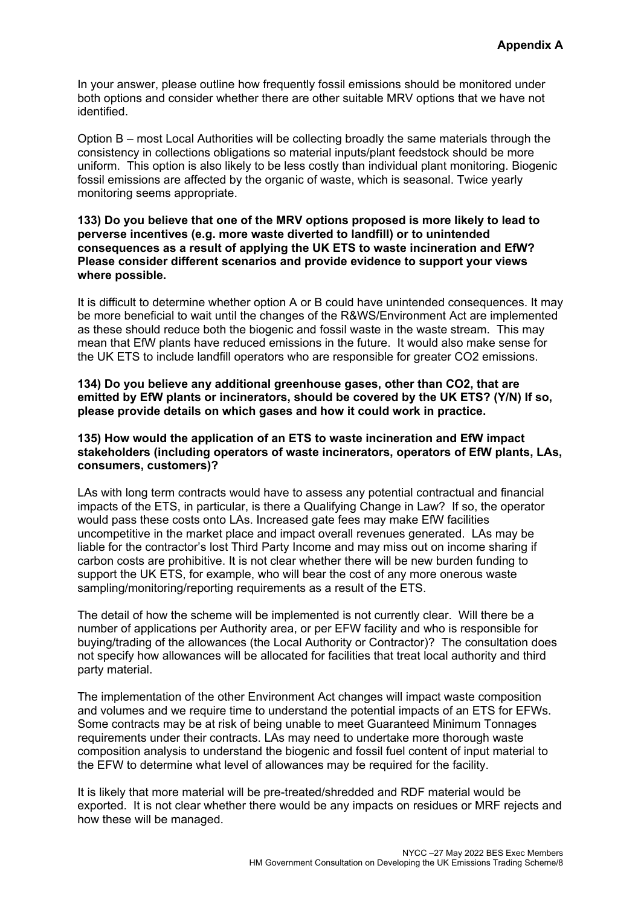In your answer, please outline how frequently fossil emissions should be monitored under both options and consider whether there are other suitable MRV options that we have not identified.

Option B – most Local Authorities will be collecting broadly the same materials through the consistency in collections obligations so material inputs/plant feedstock should be more uniform. This option is also likely to be less costly than individual plant monitoring. Biogenic fossil emissions are affected by the organic of waste, which is seasonal. Twice yearly monitoring seems appropriate.

#### **133) Do you believe that one of the MRV options proposed is more likely to lead to perverse incentives (e.g. more waste diverted to landfill) or to unintended consequences as a result of applying the UK ETS to waste incineration and EfW? Please consider different scenarios and provide evidence to support your views where possible.**

It is difficult to determine whether option A or B could have unintended consequences. It may be more beneficial to wait until the changes of the R&WS/Environment Act are implemented as these should reduce both the biogenic and fossil waste in the waste stream. This may mean that EfW plants have reduced emissions in the future. It would also make sense for the UK ETS to include landfill operators who are responsible for greater CO2 emissions.

**134) Do you believe any additional greenhouse gases, other than CO2, that are emitted by EfW plants or incinerators, should be covered by the UK ETS? (Y/N) If so, please provide details on which gases and how it could work in practice.** 

### **135) How would the application of an ETS to waste incineration and EfW impact stakeholders (including operators of waste incinerators, operators of EfW plants, LAs, consumers, customers)?**

LAs with long term contracts would have to assess any potential contractual and financial impacts of the ETS, in particular, is there a Qualifying Change in Law? If so, the operator would pass these costs onto LAs. Increased gate fees may make EfW facilities uncompetitive in the market place and impact overall revenues generated. LAs may be liable for the contractor's lost Third Party Income and may miss out on income sharing if carbon costs are prohibitive. It is not clear whether there will be new burden funding to support the UK ETS, for example, who will bear the cost of any more onerous waste sampling/monitoring/reporting requirements as a result of the ETS.

The detail of how the scheme will be implemented is not currently clear. Will there be a number of applications per Authority area, or per EFW facility and who is responsible for buying/trading of the allowances (the Local Authority or Contractor)? The consultation does not specify how allowances will be allocated for facilities that treat local authority and third party material.

The implementation of the other Environment Act changes will impact waste composition and volumes and we require time to understand the potential impacts of an ETS for EFWs. Some contracts may be at risk of being unable to meet Guaranteed Minimum Tonnages requirements under their contracts. LAs may need to undertake more thorough waste composition analysis to understand the biogenic and fossil fuel content of input material to the EFW to determine what level of allowances may be required for the facility.

It is likely that more material will be pre-treated/shredded and RDF material would be exported. It is not clear whether there would be any impacts on residues or MRF rejects and how these will be managed.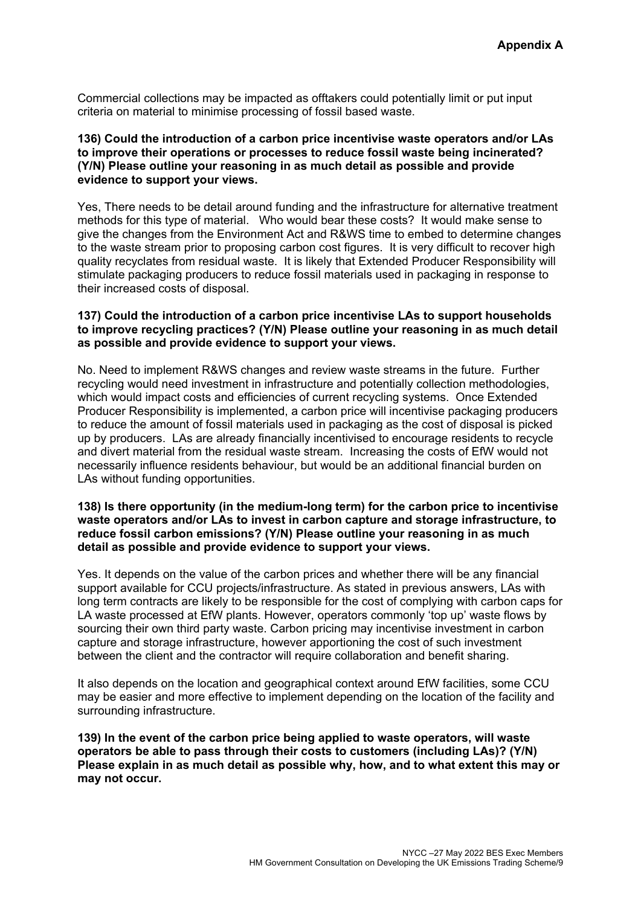Commercial collections may be impacted as offtakers could potentially limit or put input criteria on material to minimise processing of fossil based waste.

### **136) Could the introduction of a carbon price incentivise waste operators and/or LAs to improve their operations or processes to reduce fossil waste being incinerated? (Y/N) Please outline your reasoning in as much detail as possible and provide evidence to support your views.**

Yes, There needs to be detail around funding and the infrastructure for alternative treatment methods for this type of material. Who would bear these costs? It would make sense to give the changes from the Environment Act and R&WS time to embed to determine changes to the waste stream prior to proposing carbon cost figures. It is very difficult to recover high quality recyclates from residual waste. It is likely that Extended Producer Responsibility will stimulate packaging producers to reduce fossil materials used in packaging in response to their increased costs of disposal.

#### **137) Could the introduction of a carbon price incentivise LAs to support households to improve recycling practices? (Y/N) Please outline your reasoning in as much detail as possible and provide evidence to support your views.**

No. Need to implement R&WS changes and review waste streams in the future. Further recycling would need investment in infrastructure and potentially collection methodologies, which would impact costs and efficiencies of current recycling systems. Once Extended Producer Responsibility is implemented, a carbon price will incentivise packaging producers to reduce the amount of fossil materials used in packaging as the cost of disposal is picked up by producers. LAs are already financially incentivised to encourage residents to recycle and divert material from the residual waste stream. Increasing the costs of EfW would not necessarily influence residents behaviour, but would be an additional financial burden on LAs without funding opportunities.

#### **138) Is there opportunity (in the medium-long term) for the carbon price to incentivise waste operators and/or LAs to invest in carbon capture and storage infrastructure, to reduce fossil carbon emissions? (Y/N) Please outline your reasoning in as much detail as possible and provide evidence to support your views.**

Yes. It depends on the value of the carbon prices and whether there will be any financial support available for CCU projects/infrastructure. As stated in previous answers, LAs with long term contracts are likely to be responsible for the cost of complying with carbon caps for LA waste processed at EfW plants. However, operators commonly 'top up' waste flows by sourcing their own third party waste. Carbon pricing may incentivise investment in carbon capture and storage infrastructure, however apportioning the cost of such investment between the client and the contractor will require collaboration and benefit sharing.

It also depends on the location and geographical context around EfW facilities, some CCU may be easier and more effective to implement depending on the location of the facility and surrounding infrastructure.

**139) In the event of the carbon price being applied to waste operators, will waste operators be able to pass through their costs to customers (including LAs)? (Y/N) Please explain in as much detail as possible why, how, and to what extent this may or may not occur.**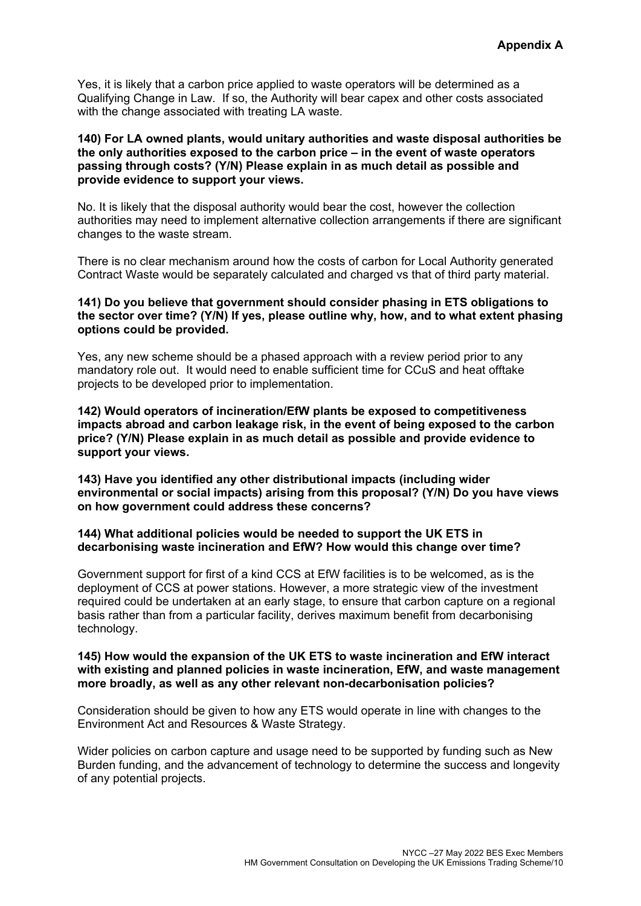Yes, it is likely that a carbon price applied to waste operators will be determined as a Qualifying Change in Law. If so, the Authority will bear capex and other costs associated with the change associated with treating LA waste.

### **140) For LA owned plants, would unitary authorities and waste disposal authorities be the only authorities exposed to the carbon price – in the event of waste operators passing through costs? (Y/N) Please explain in as much detail as possible and provide evidence to support your views.**

No. It is likely that the disposal authority would bear the cost, however the collection authorities may need to implement alternative collection arrangements if there are significant changes to the waste stream.

There is no clear mechanism around how the costs of carbon for Local Authority generated Contract Waste would be separately calculated and charged vs that of third party material.

#### **141) Do you believe that government should consider phasing in ETS obligations to the sector over time? (Y/N) If yes, please outline why, how, and to what extent phasing options could be provided.**

Yes, any new scheme should be a phased approach with a review period prior to any mandatory role out. It would need to enable sufficient time for CCuS and heat offtake projects to be developed prior to implementation.

**142) Would operators of incineration/EfW plants be exposed to competitiveness impacts abroad and carbon leakage risk, in the event of being exposed to the carbon price? (Y/N) Please explain in as much detail as possible and provide evidence to support your views.** 

**143) Have you identified any other distributional impacts (including wider environmental or social impacts) arising from this proposal? (Y/N) Do you have views on how government could address these concerns?** 

#### **144) What additional policies would be needed to support the UK ETS in decarbonising waste incineration and EfW? How would this change over time?**

Government support for first of a kind CCS at EfW facilities is to be welcomed, as is the deployment of CCS at power stations. However, a more strategic view of the investment required could be undertaken at an early stage, to ensure that carbon capture on a regional basis rather than from a particular facility, derives maximum benefit from decarbonising technology.

#### **145) How would the expansion of the UK ETS to waste incineration and EfW interact with existing and planned policies in waste incineration, EfW, and waste management more broadly, as well as any other relevant non-decarbonisation policies?**

Consideration should be given to how any ETS would operate in line with changes to the Environment Act and Resources & Waste Strategy.

Wider policies on carbon capture and usage need to be supported by funding such as New Burden funding, and the advancement of technology to determine the success and longevity of any potential projects.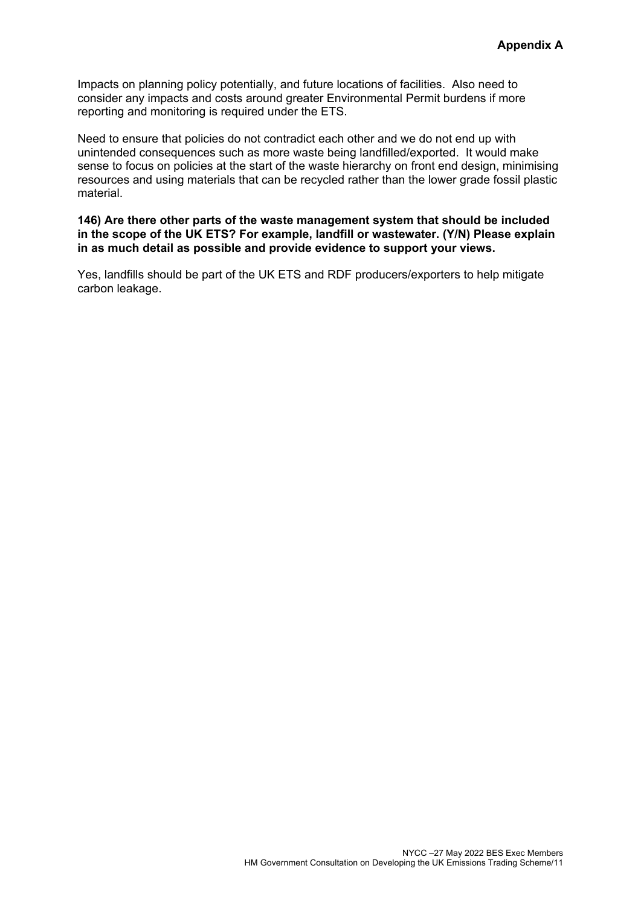Impacts on planning policy potentially, and future locations of facilities. Also need to consider any impacts and costs around greater Environmental Permit burdens if more reporting and monitoring is required under the ETS.

Need to ensure that policies do not contradict each other and we do not end up with unintended consequences such as more waste being landfilled/exported. It would make sense to focus on policies at the start of the waste hierarchy on front end design, minimising resources and using materials that can be recycled rather than the lower grade fossil plastic material.

#### **146) Are there other parts of the waste management system that should be included in the scope of the UK ETS? For example, landfill or wastewater. (Y/N) Please explain in as much detail as possible and provide evidence to support your views.**

Yes, landfills should be part of the UK ETS and RDF producers/exporters to help mitigate carbon leakage.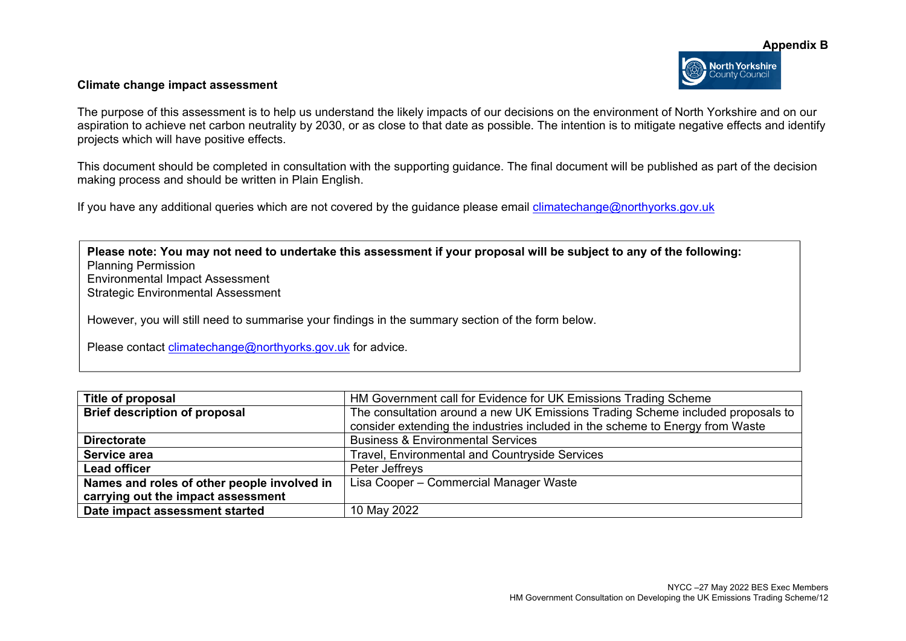#### **Climate change impact assessment**

The purpose of this assessment is to help us understand the likely impacts of our decisions on the environment of North Yorkshire and on our aspiration to achieve net carbon neutrality by 2030, or as close to that date as possible. The intention is to mitigate negative effects and identify projects which will have positive effects.

This document should be completed in consultation with the supporting guidance. The final document will be published as part of the decision making process and should be written in Plain English.

If you have any additional queries which are not covered by the guidance please email climatechange@northyorks.gov.uk

**Please note: You may not need to undertake this assessment if your proposal will be subject to any of the following:**  Planning Permission Environmental Impact Assessment Strategic Environmental Assessment

However, you will still need to summarise your findings in the summary section of the form below.

Please contact climatechange@northyorks.gov.uk for advice.

| Title of proposal                           | HM Government call for Evidence for UK Emissions Trading Scheme                 |
|---------------------------------------------|---------------------------------------------------------------------------------|
| <b>Brief description of proposal</b>        | The consultation around a new UK Emissions Trading Scheme included proposals to |
|                                             | consider extending the industries included in the scheme to Energy from Waste   |
| <b>Directorate</b>                          | <b>Business &amp; Environmental Services</b>                                    |
| Service area                                | Travel, Environmental and Countryside Services                                  |
| <b>Lead officer</b>                         | Peter Jeffreys                                                                  |
| Names and roles of other people involved in | Lisa Cooper - Commercial Manager Waste                                          |
| carrying out the impact assessment          |                                                                                 |
| Date impact assessment started              | 10 May 2022                                                                     |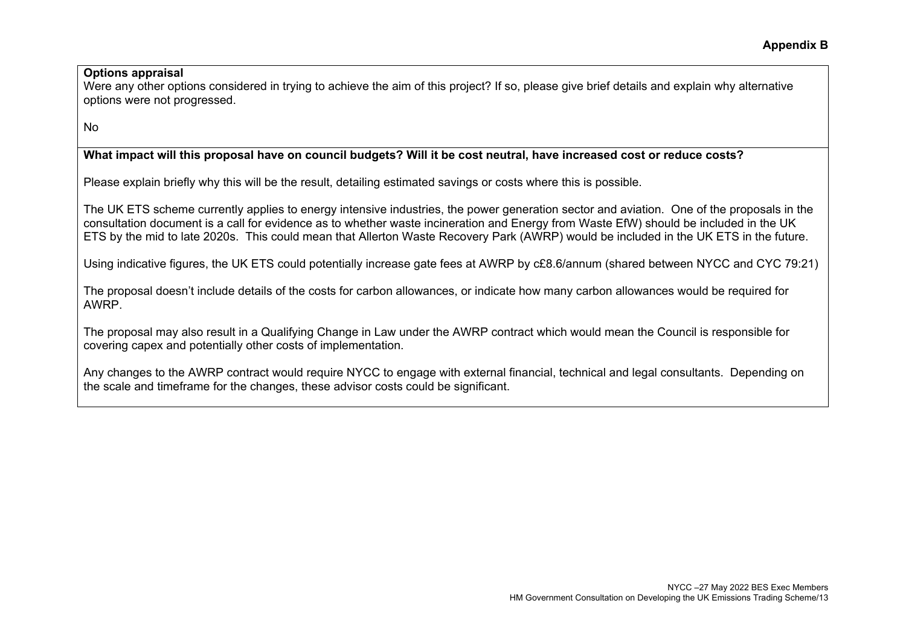### **Options appraisal**

Were any other options considered in trying to achieve the aim of this project? If so, please give brief details and explain why alternative options were not progressed.

No

# **What impact will this proposal have on council budgets? Will it be cost neutral, have increased cost or reduce costs?**

Please explain briefly why this will be the result, detailing estimated savings or costs where this is possible.

The UK ETS scheme currently applies to energy intensive industries, the power generation sector and aviation. One of the proposals in the consultation document is a call for evidence as to whether waste incineration and Energy from Waste EfW) should be included in the UK ETS by the mid to late 2020s. This could mean that Allerton Waste Recovery Park (AWRP) would be included in the UK ETS in the future.

Using indicative figures, the UK ETS could potentially increase gate fees at AWRP by c£8.6/annum (shared between NYCC and CYC 79:21)

The proposal doesn't include details of the costs for carbon allowances, or indicate how many carbon allowances would be required for AWRP.

The proposal may also result in a Qualifying Change in Law under the AWRP contract which would mean the Council is responsible for covering capex and potentially other costs of implementation.

Any changes to the AWRP contract would require NYCC to engage with external financial, technical and legal consultants. Depending on the scale and timeframe for the changes, these advisor costs could be significant.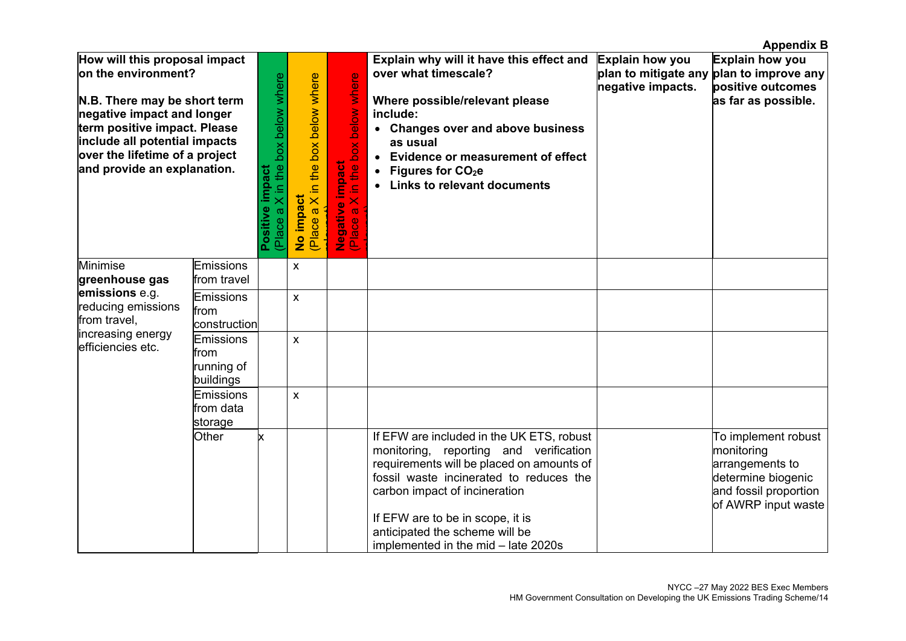|                                                                                                                                                                                                                                                      |                                              |                                                               |                                                |                                                              |                                                                                                                                                                                                                                                                                                                              |                                             | <b>Appendix B</b>                                                                                                          |
|------------------------------------------------------------------------------------------------------------------------------------------------------------------------------------------------------------------------------------------------------|----------------------------------------------|---------------------------------------------------------------|------------------------------------------------|--------------------------------------------------------------|------------------------------------------------------------------------------------------------------------------------------------------------------------------------------------------------------------------------------------------------------------------------------------------------------------------------------|---------------------------------------------|----------------------------------------------------------------------------------------------------------------------------|
| How will this proposal impact<br>on the environment?<br>N.B. There may be short term<br>negative impact and longer<br>term positive impact. Please<br>include all potential impacts<br>over the lifetime of a project<br>and provide an explanation. |                                              | Place a X in the box below where<br><b>Impact</b><br>Positive | (Place a X in the box below where<br>No impact | below where<br>box<br>Negative impact<br>(Place a X in the I | Explain why will it have this effect and<br>over what timescale?<br>Where possible/relevant please<br>include:<br>• Changes over and above business<br>as usual<br>• Evidence or measurement of effect<br>Figures for CO <sub>2</sub> e<br>• Links to relevant documents                                                     | <b>Explain how you</b><br>negative impacts. | Explain how you<br>plan to mitigate any plan to improve any<br>positive outcomes<br>as far as possible.                    |
| <b>Minimise</b><br>greenhouse gas                                                                                                                                                                                                                    | Emissions<br>from travel                     |                                                               | X                                              |                                                              |                                                                                                                                                                                                                                                                                                                              |                                             |                                                                                                                            |
| emissions e.g.<br>reducing emissions<br>from travel,                                                                                                                                                                                                 | Emissions<br>from<br>construction            |                                                               | $\pmb{\times}$                                 |                                                              |                                                                                                                                                                                                                                                                                                                              |                                             |                                                                                                                            |
| increasing energy<br>efficiencies etc.                                                                                                                                                                                                               | Emissions<br>from<br>running of<br>buildings |                                                               | X                                              |                                                              |                                                                                                                                                                                                                                                                                                                              |                                             |                                                                                                                            |
|                                                                                                                                                                                                                                                      | Emissions<br>from data<br>storage            |                                                               | X                                              |                                                              |                                                                                                                                                                                                                                                                                                                              |                                             |                                                                                                                            |
|                                                                                                                                                                                                                                                      | Other                                        | x                                                             |                                                |                                                              | If EFW are included in the UK ETS, robust<br>monitoring,<br>reporting and verification<br>requirements will be placed on amounts of<br>fossil waste incinerated to reduces the<br>carbon impact of incineration<br>If EFW are to be in scope, it is<br>anticipated the scheme will be<br>implemented in the mid - late 2020s |                                             | To implement robust<br>monitoring<br>arrangements to<br>determine biogenic<br>and fossil proportion<br>of AWRP input waste |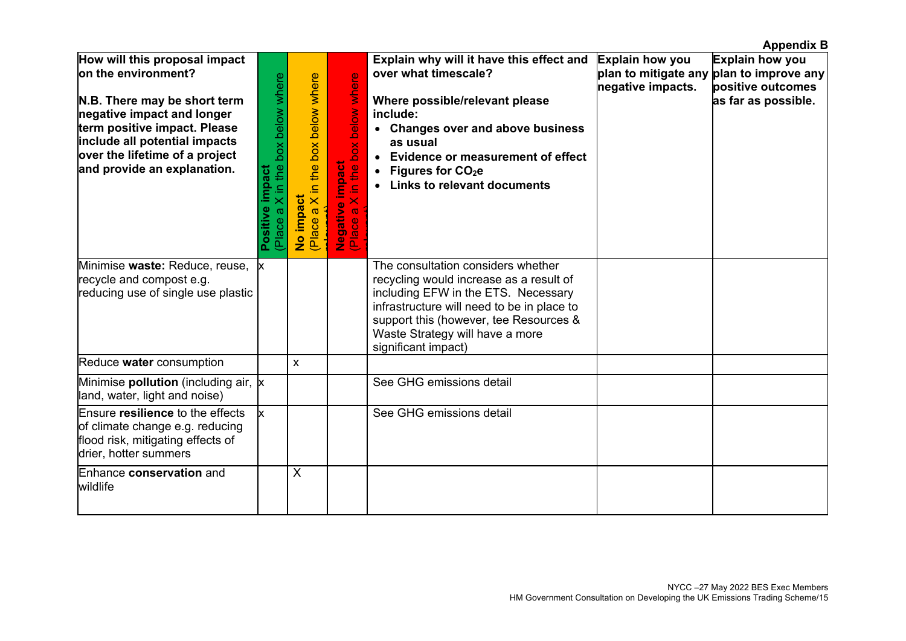|                                                                                                                                                                                                                                                      |                                                         |                                                             |                                                           |                                                                                                                                                                                                                                                                        |                                      | <b>Appendix B</b>                                                                                       |
|------------------------------------------------------------------------------------------------------------------------------------------------------------------------------------------------------------------------------------------------------|---------------------------------------------------------|-------------------------------------------------------------|-----------------------------------------------------------|------------------------------------------------------------------------------------------------------------------------------------------------------------------------------------------------------------------------------------------------------------------------|--------------------------------------|---------------------------------------------------------------------------------------------------------|
| How will this proposal impact<br>on the environment?<br>N.B. There may be short term<br>negative impact and longer<br>term positive impact. Please<br>include all potential impacts<br>over the lifetime of a project<br>and provide an explanation. | (Place a X in the box below where<br>impact<br>Positive | X in the box below where<br>No impact<br>$\varpi$<br>(Place | box below where<br>Negative impact<br>(Place a X in the I | Explain why will it have this effect and<br>over what timescale?<br>Where possible/relevant please<br>include:<br>• Changes over and above business<br>as usual<br>• Evidence or measurement of effect<br>• Figures for $CO2e$<br>• Links to relevant documents        | Explain how you<br>negative impacts. | Explain how you<br>plan to mitigate any plan to improve any<br>positive outcomes<br>as far as possible. |
| Minimise waste: Reduce, reuse, x<br>recycle and compost e.g.<br>reducing use of single use plastic                                                                                                                                                   |                                                         |                                                             |                                                           | The consultation considers whether<br>recycling would increase as a result of<br>including EFW in the ETS. Necessary<br>infrastructure will need to be in place to<br>support this (however, tee Resources &<br>Waste Strategy will have a more<br>significant impact) |                                      |                                                                                                         |
| Reduce water consumption                                                                                                                                                                                                                             |                                                         | $\mathsf{x}$                                                |                                                           |                                                                                                                                                                                                                                                                        |                                      |                                                                                                         |
| Minimise <b>pollution</b> (including air, x<br>land, water, light and noise)                                                                                                                                                                         |                                                         |                                                             |                                                           | See GHG emissions detail                                                                                                                                                                                                                                               |                                      |                                                                                                         |
| Ensure resilience to the effects<br>of climate change e.g. reducing<br>flood risk, mitigating effects of<br>drier, hotter summers                                                                                                                    | $\mathsf{k}$                                            |                                                             |                                                           | See GHG emissions detail                                                                                                                                                                                                                                               |                                      |                                                                                                         |
| Enhance conservation and<br>wildlife                                                                                                                                                                                                                 |                                                         | $\sf X$                                                     |                                                           |                                                                                                                                                                                                                                                                        |                                      |                                                                                                         |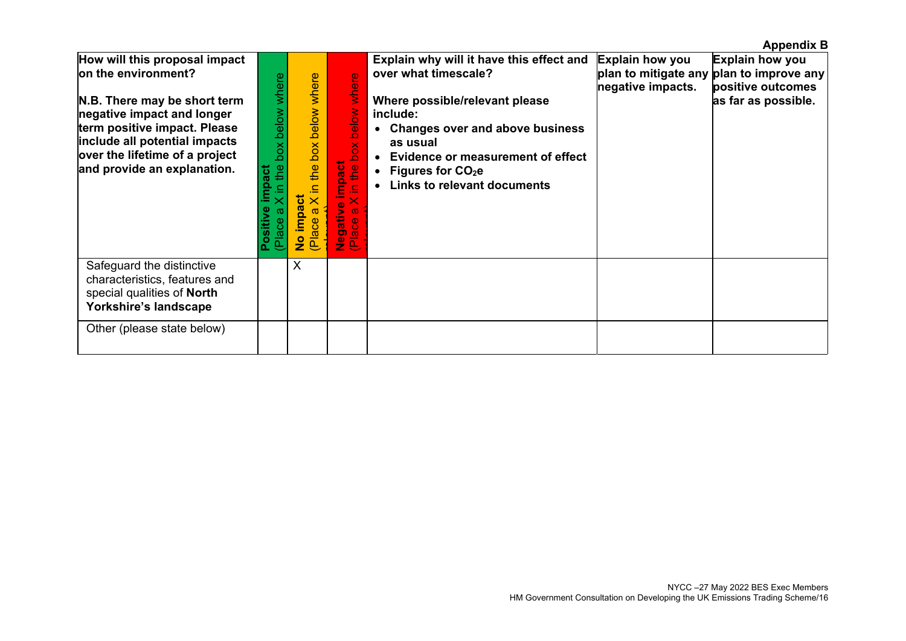|                                                                                                                                                                                                                                                      |                                                       |                                                     |                                                                                                 |                                                                                                                                                                                                                                                                 |                                      | <b>Appendix B</b>                                                                                       |
|------------------------------------------------------------------------------------------------------------------------------------------------------------------------------------------------------------------------------------------------------|-------------------------------------------------------|-----------------------------------------------------|-------------------------------------------------------------------------------------------------|-----------------------------------------------------------------------------------------------------------------------------------------------------------------------------------------------------------------------------------------------------------------|--------------------------------------|---------------------------------------------------------------------------------------------------------|
| How will this proposal impact<br>on the environment?<br>N.B. There may be short term<br>negative impact and longer<br>term positive impact. Please<br>include all potential impacts<br>over the lifetime of a project<br>and provide an explanation. | in the box below where<br>act<br>Ĕ<br>g<br>π<br>Place | the box below where<br>ā<br>ō<br>$\frac{1}{2}$<br>உ | where<br>below<br>box<br>impact<br>in the L<br>gative<br>$\omega$<br>$\omega$<br>$\sigma$<br>오르 | Explain why will it have this effect and<br>over what timescale?<br>Where possible/relevant please<br>include:<br>• Changes over and above business<br>as usual<br>• Evidence or measurement of effect<br>• Figures for $CO2e$<br>• Links to relevant documents | Explain how you<br>negative impacts. | Explain how you<br>plan to mitigate any plan to improve any<br>positive outcomes<br>as far as possible. |
| Safeguard the distinctive<br>characteristics, features and<br>special qualities of North<br>Yorkshire's landscape                                                                                                                                    |                                                       | $\sf X$                                             |                                                                                                 |                                                                                                                                                                                                                                                                 |                                      |                                                                                                         |
| Other (please state below)                                                                                                                                                                                                                           |                                                       |                                                     |                                                                                                 |                                                                                                                                                                                                                                                                 |                                      |                                                                                                         |